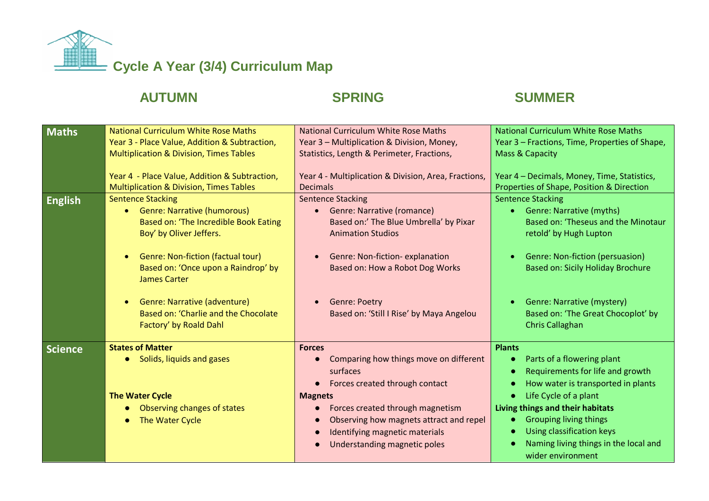

## AUTUMN SPRING SUMMER

| <b>Maths</b>   | <b>National Curriculum White Rose Maths</b><br>Year 3 - Place Value, Addition & Subtraction,<br><b>Multiplication &amp; Division, Times Tables</b><br>Year 4 - Place Value, Addition & Subtraction,<br><b>Multiplication &amp; Division, Times Tables</b>                                                                          | <b>National Curriculum White Rose Maths</b><br>Year 3 - Multiplication & Division, Money,<br>Statistics, Length & Perimeter, Fractions,<br>Year 4 - Multiplication & Division, Area, Fractions,<br><b>Decimals</b>                                                                                 | <b>National Curriculum White Rose Maths</b><br>Year 3 - Fractions, Time, Properties of Shape,<br>Mass & Capacity<br>Year 4 - Decimals, Money, Time, Statistics,<br>Properties of Shape, Position & Direction                                                                                                   |
|----------------|------------------------------------------------------------------------------------------------------------------------------------------------------------------------------------------------------------------------------------------------------------------------------------------------------------------------------------|----------------------------------------------------------------------------------------------------------------------------------------------------------------------------------------------------------------------------------------------------------------------------------------------------|----------------------------------------------------------------------------------------------------------------------------------------------------------------------------------------------------------------------------------------------------------------------------------------------------------------|
| <b>English</b> | <b>Sentence Stacking</b><br>• Genre: Narrative (humorous)<br>Based on: 'The Incredible Book Eating<br>Boy' by Oliver Jeffers.<br>Genre: Non-fiction (factual tour)<br>Based on: 'Once upon a Raindrop' by<br><b>James Carter</b><br>Genre: Narrative (adventure)<br>Based on: 'Charlie and the Chocolate<br>Factory' by Roald Dahl | <b>Sentence Stacking</b><br><b>Genre: Narrative (romance)</b><br>$\bullet$<br>Based on:' The Blue Umbrella' by Pixar<br><b>Animation Studios</b><br>Genre: Non-fiction-explanation<br>Based on: How a Robot Dog Works<br><b>Genre: Poetry</b><br>Based on: 'Still I Rise' by Maya Angelou          | <b>Sentence Stacking</b><br><b>Genre: Narrative (myths)</b><br>Based on: 'Theseus and the Minotaur<br>retold' by Hugh Lupton<br>Genre: Non-fiction (persuasion)<br><b>Based on: Sicily Holiday Brochure</b><br>Genre: Narrative (mystery)<br>Based on: 'The Great Chocoplot' by<br><b>Chris Callaghan</b>      |
| <b>Science</b> | <b>States of Matter</b><br>Solids, liquids and gases<br>$\bullet$<br><b>The Water Cycle</b><br>Observing changes of states<br>The Water Cycle                                                                                                                                                                                      | <b>Forces</b><br>Comparing how things move on different<br>surfaces<br>Forces created through contact<br>$\bullet$<br><b>Magnets</b><br>Forces created through magnetism<br>$\bullet$<br>Observing how magnets attract and repel<br>Identifying magnetic materials<br>Understanding magnetic poles | <b>Plants</b><br>Parts of a flowering plant<br>Requirements for life and growth<br>How water is transported in plants<br>Life Cycle of a plant<br>Living things and their habitats<br><b>Grouping living things</b><br>Using classification keys<br>Naming living things in the local and<br>wider environment |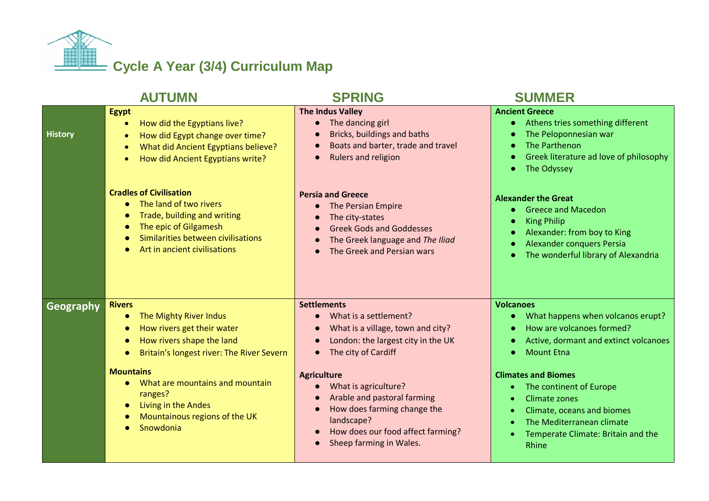

|                  | <b>AUTUMN</b>                                                                                                                                                                                                                                                                                       | <b>SPRING</b>                                                                                                                                                                                                                                                                                                                                                                                            | <b>SUMMER</b>                                                                                                                                                                                                                                                                                                                        |
|------------------|-----------------------------------------------------------------------------------------------------------------------------------------------------------------------------------------------------------------------------------------------------------------------------------------------------|----------------------------------------------------------------------------------------------------------------------------------------------------------------------------------------------------------------------------------------------------------------------------------------------------------------------------------------------------------------------------------------------------------|--------------------------------------------------------------------------------------------------------------------------------------------------------------------------------------------------------------------------------------------------------------------------------------------------------------------------------------|
| <b>History</b>   | <b>Egypt</b><br>How did the Egyptians live?<br>$\bullet$<br>How did Egypt change over time?<br>What did Ancient Egyptians believe?<br>How did Ancient Egyptians write?                                                                                                                              | <b>The Indus Valley</b><br>The dancing girl<br>$\bullet$<br>Bricks, buildings and baths<br>Boats and barter, trade and travel<br>$\bullet$<br>Rulers and religion<br>$\bullet$                                                                                                                                                                                                                           | <b>Ancient Greece</b><br>• Athens tries something different<br>The Peloponnesian war<br>The Parthenon<br>Greek literature ad love of philosophy<br>The Odyssey                                                                                                                                                                       |
|                  | <b>Cradles of Civilisation</b><br>The land of two rivers<br>Trade, building and writing<br>The epic of Gilgamesh<br>Similarities between civilisations<br>Art in ancient civilisations                                                                                                              | <b>Persia and Greece</b><br>The Persian Empire<br>$\bullet$<br>The city-states<br>$\bullet$<br><b>Greek Gods and Goddesses</b><br>$\bullet$<br>The Greek language and The Iliad<br>$\bullet$<br>The Greek and Persian wars                                                                                                                                                                               | <b>Alexander the Great</b><br><b>Greece and Macedon</b><br><b>King Philip</b><br>Alexander: from boy to King<br><b>Alexander conquers Persia</b><br>The wonderful library of Alexandria                                                                                                                                              |
| <b>Geography</b> | <b>Rivers</b><br>The Mighty River Indus<br>How rivers get their water<br>How rivers shape the land<br>Britain's longest river: The River Severn<br><b>Mountains</b><br>What are mountains and mountain<br>$\bullet$<br>ranges?<br>Living in the Andes<br>Mountainous regions of the UK<br>Snowdonia | <b>Settlements</b><br>What is a settlement?<br>What is a village, town and city?<br>$\bullet$<br>London: the largest city in the UK<br>$\bullet$<br>The city of Cardiff<br>$\bullet$<br><b>Agriculture</b><br>What is agriculture?<br>Arable and pastoral farming<br>$\bullet$<br>How does farming change the<br>$\bullet$<br>landscape?<br>How does our food affect farming?<br>Sheep farming in Wales. | <b>Volcanoes</b><br>What happens when volcanos erupt?<br>How are volcanoes formed?<br>Active, dormant and extinct volcanoes<br><b>Mount Etna</b><br><b>Climates and Biomes</b><br>The continent of Europe<br>Climate zones<br>Climate, oceans and biomes<br>The Mediterranean climate<br>Temperate Climate: Britain and the<br>Rhine |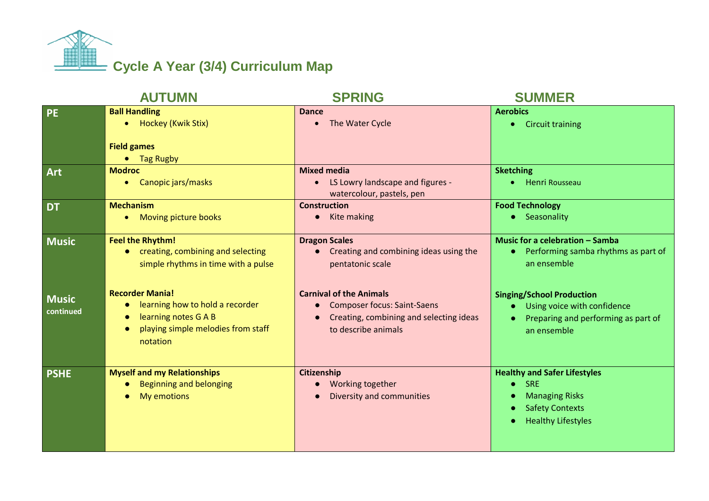

|                           | <b>AUTUMN</b>                                                                                                                                    | <b>SPRING</b>                                                                                                                          | <b>SUMMER</b>                                                                                                                     |
|---------------------------|--------------------------------------------------------------------------------------------------------------------------------------------------|----------------------------------------------------------------------------------------------------------------------------------------|-----------------------------------------------------------------------------------------------------------------------------------|
| <b>PE</b>                 | <b>Ball Handling</b><br>Hockey (Kwik Stix)<br><b>Field games</b><br>Tag Rugby                                                                    | <b>Dance</b><br>The Water Cycle<br>$\bullet$                                                                                           | <b>Aerobics</b><br><b>Circuit training</b>                                                                                        |
| Art                       | <b>Modroc</b><br>Canopic jars/masks<br>$\bullet$                                                                                                 | <b>Mixed media</b><br>LS Lowry landscape and figures -<br>$\bullet$<br>watercolour, pastels, pen                                       | <b>Sketching</b><br><b>Henri Rousseau</b>                                                                                         |
| <b>DT</b>                 | <b>Mechanism</b><br>Moving picture books<br>۰                                                                                                    | <b>Construction</b><br>Kite making                                                                                                     | <b>Food Technology</b><br>• Seasonality                                                                                           |
| <b>Music</b>              | <b>Feel the Rhythm!</b><br>• creating, combining and selecting<br>simple rhythms in time with a pulse                                            | <b>Dragon Scales</b><br>Creating and combining ideas using the<br>$\bullet$<br>pentatonic scale                                        | Music for a celebration - Samba<br>• Performing samba rhythms as part of<br>an ensemble                                           |
| <b>Music</b><br>continued | <b>Recorder Mania!</b><br>learning how to hold a recorder<br>learning notes G A B<br>playing simple melodies from staff<br>$\bullet$<br>notation | <b>Carnival of the Animals</b><br><b>Composer focus: Saint-Saens</b><br>Creating, combining and selecting ideas<br>to describe animals | <b>Singing/School Production</b><br>Using voice with confidence<br>Preparing and performing as part of<br>an ensemble             |
| <b>PSHE</b>               | <b>Myself and my Relationships</b><br><b>Beginning and belonging</b><br>My emotions                                                              | Citizenship<br>Working together<br>Diversity and communities                                                                           | <b>Healthy and Safer Lifestyles</b><br><b>SRE</b><br><b>Managing Risks</b><br><b>Safety Contexts</b><br><b>Healthy Lifestyles</b> |